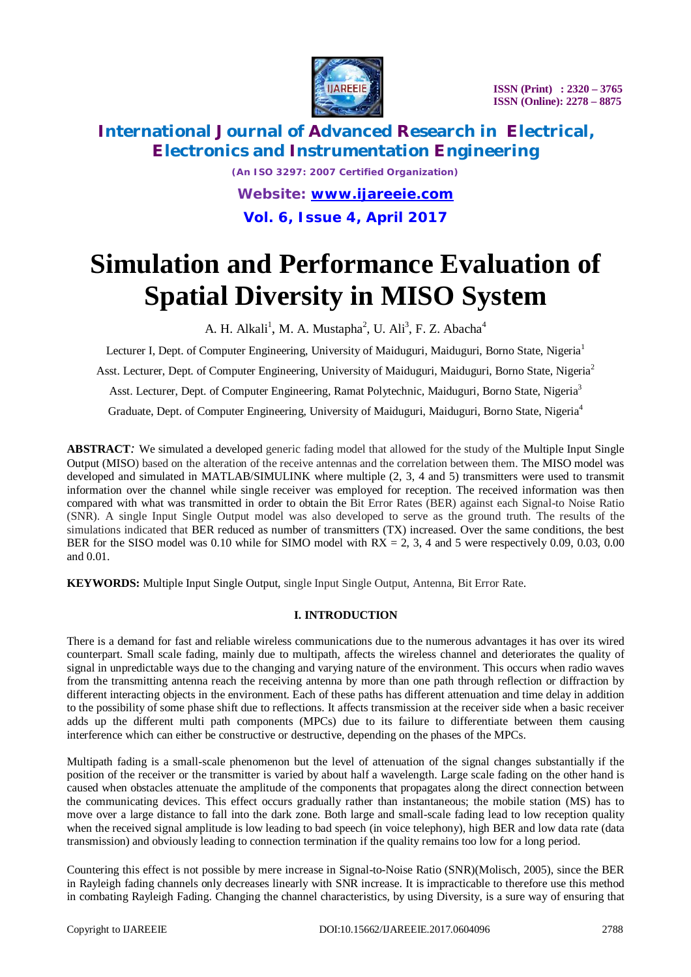

# **International Journal of Advanced Research in Electrical, Electronics and Instrumentation Engineering**

*(An ISO 3297: 2007 Certified Organization) Website: [www.ijareeie.com](http://www.ijareeie.com)* **Vol. 6, Issue 4, April 2017**

# **Simulation and Performance Evaluation of Spatial Diversity in MISO System**

A. H. Alkali<sup>1</sup>, M. A. Mustapha<sup>2</sup>, U. Ali<sup>3</sup>, F. Z. Abacha<sup>4</sup>

Lecturer I, Dept. of Computer Engineering, University of Maiduguri, Maiduguri, Borno State, Nigeria<sup>1</sup> Asst. Lecturer, Dept. of Computer Engineering, University of Maiduguri, Maiduguri, Borno State, Nigeria<sup>2</sup> Asst. Lecturer, Dept. of Computer Engineering, Ramat Polytechnic, Maiduguri, Borno State, Nigeria<sup>3</sup> Graduate, Dept. of Computer Engineering, University of Maiduguri, Maiduguri, Borno State, Nigeria<sup>4</sup>

**ABSTRACT***:* We simulated a developed generic fading model that allowed for the study of the Multiple Input Single Output (MISO) based on the alteration of the receive antennas and the correlation between them. The MISO model was developed and simulated in MATLAB/SIMULINK where multiple (2, 3, 4 and 5) transmitters were used to transmit information over the channel while single receiver was employed for reception. The received information was then compared with what was transmitted in order to obtain the Bit Error Rates (BER) against each Signal-to Noise Ratio (SNR). A single Input Single Output model was also developed to serve as the ground truth. The results of the simulations indicated that BER reduced as number of transmitters (TX) increased. Over the same conditions, the best BER for the SISO model was 0.10 while for SIMO model with  $RX = 2$ , 3, 4 and 5 were respectively 0.09, 0.03, 0.00 and 0.01.

**KEYWORDS:** Multiple Input Single Output, single Input Single Output, Antenna, Bit Error Rate.

### **I. INTRODUCTION**

There is a demand for fast and reliable wireless communications due to the numerous advantages it has over its wired counterpart. Small scale fading, mainly due to multipath, affects the wireless channel and deteriorates the quality of signal in unpredictable ways due to the changing and varying nature of the environment. This occurs when radio waves from the transmitting antenna reach the receiving antenna by more than one path through reflection or diffraction by different interacting objects in the environment. Each of these paths has different attenuation and time delay in addition to the possibility of some phase shift due to reflections. It affects transmission at the receiver side when a basic receiver adds up the different multi path components (MPCs) due to its failure to differentiate between them causing interference which can either be constructive or destructive, depending on the phases of the MPCs.

Multipath fading is a small-scale phenomenon but the level of attenuation of the signal changes substantially if the position of the receiver or the transmitter is varied by about half a wavelength. Large scale fading on the other hand is caused when obstacles attenuate the amplitude of the components that propagates along the direct connection between the communicating devices. This effect occurs gradually rather than instantaneous; the mobile station (MS) has to move over a large distance to fall into the dark zone. Both large and small-scale fading lead to low reception quality when the received signal amplitude is low leading to bad speech (in voice telephony), high BER and low data rate (data transmission) and obviously leading to connection termination if the quality remains too low for a long period.

Countering this effect is not possible by mere increase in Signal-to-Noise Ratio (SNR)(Molisch, 2005), since the BER in Rayleigh fading channels only decreases linearly with SNR increase. It is impracticable to therefore use this method in combating Rayleigh Fading. Changing the channel characteristics, by using Diversity, is a sure way of ensuring that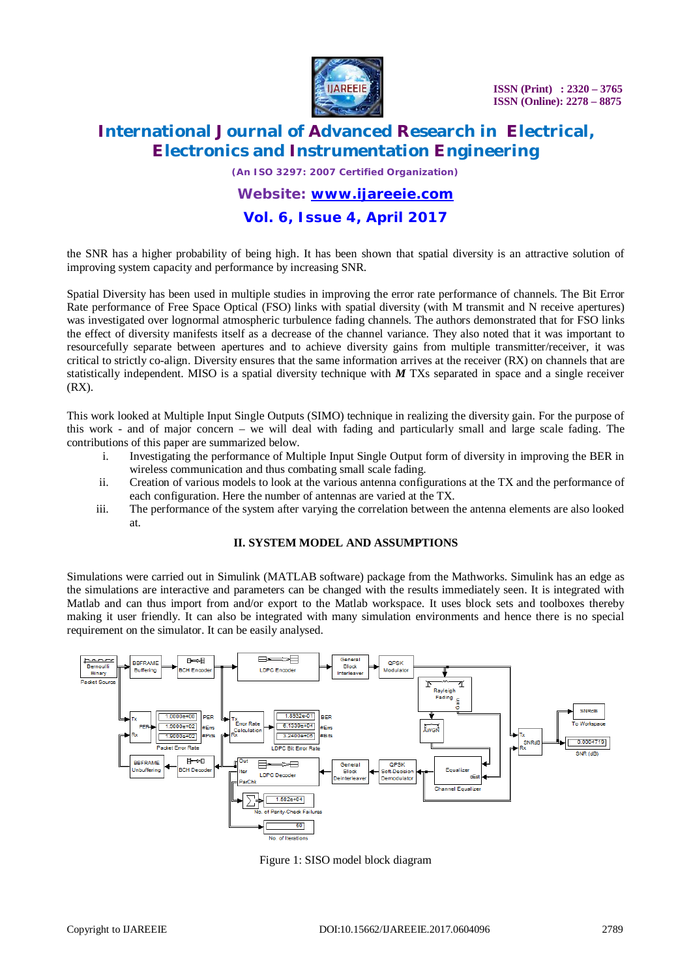

# **International Journal of Advanced Research in Electrical, Electronics and Instrumentation Engineering**

*(An ISO 3297: 2007 Certified Organization)*

### *Website: [www.ijareeie.com](http://www.ijareeie.com)* **Vol. 6, Issue 4, April 2017**

### the SNR has a higher probability of being high. It has been shown that spatial diversity is an attractive solution of improving system capacity and performance by increasing SNR.

Spatial Diversity has been used in multiple studies in improving the error rate performance of channels. The Bit Error Rate performance of Free Space Optical (FSO) links with spatial diversity (with M transmit and N receive apertures) was investigated over lognormal atmospheric turbulence fading channels. The authors demonstrated that for FSO links the effect of diversity manifests itself as a decrease of the channel variance. They also noted that it was important to resourcefully separate between apertures and to achieve diversity gains from multiple transmitter/receiver, it was critical to strictly co-align. Diversity ensures that the same information arrives at the receiver (RX) on channels that are statistically independent. MISO is a spatial diversity technique with *M* TXs separated in space and a single receiver (RX).

This work looked at Multiple Input Single Outputs (SIMO) technique in realizing the diversity gain. For the purpose of this work - and of major concern – we will deal with fading and particularly small and large scale fading. The contributions of this paper are summarized below.

- i. Investigating the performance of Multiple Input Single Output form of diversity in improving the BER in wireless communication and thus combating small scale fading.
- ii. Creation of various models to look at the various antenna configurations at the TX and the performance of each configuration. Here the number of antennas are varied at the TX.
- iii. The performance of the system after varying the correlation between the antenna elements are also looked at.

#### **II. SYSTEM MODEL AND ASSUMPTIONS**

Simulations were carried out in Simulink (MATLAB software) package from the Mathworks. Simulink has an edge as the simulations are interactive and parameters can be changed with the results immediately seen. It is integrated with Matlab and can thus import from and/or export to the Matlab workspace. It uses block sets and toolboxes thereby making it user friendly. It can also be integrated with many simulation environments and hence there is no special requirement on the simulator. It can be easily analysed.



Figure 1: SISO model block diagram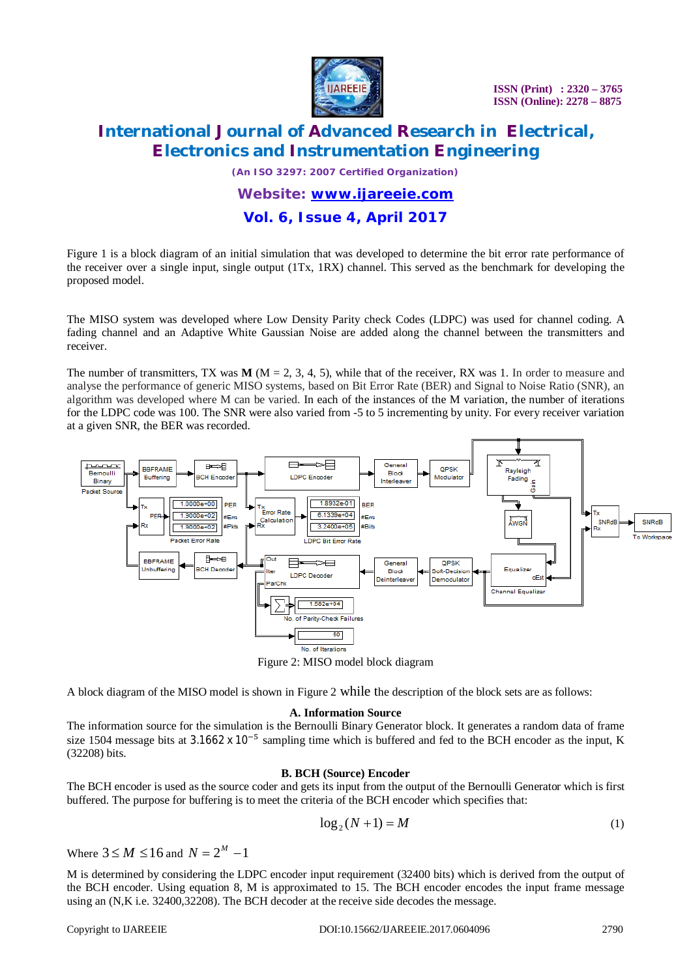

# **International Journal of Advanced Research in Electrical, Electronics and Instrumentation Engineering**

*(An ISO 3297: 2007 Certified Organization)*

*Website: [www.ijareeie.com](http://www.ijareeie.com)*

### **Vol. 6, Issue 4, April 2017**

Figure 1 is a block diagram of an initial simulation that was developed to determine the bit error rate performance of the receiver over a single input, single output (1Tx, 1RX) channel. This served as the benchmark for developing the proposed model.

The MISO system was developed where Low Density Parity check Codes (LDPC) was used for channel coding. A fading channel and an Adaptive White Gaussian Noise are added along the channel between the transmitters and receiver.

The number of transmitters, TX was  $M$  ( $M = 2, 3, 4, 5$ ), while that of the receiver, RX was 1. In order to measure and analyse the performance of generic MISO systems, based on Bit Error Rate (BER) and Signal to Noise Ratio (SNR), an algorithm was developed where M can be varied. In each of the instances of the M variation, the number of iterations for the LDPC code was 100. The SNR were also varied from -5 to 5 incrementing by unity. For every receiver variation at a given SNR, the BER was recorded.



Figure 2: MISO model block diagram

A block diagram of the MISO model is shown in Figure 2 while the description of the block sets are as follows:

#### **A. Information Source**

The information source for the simulation is the Bernoulli Binary Generator block. It generates a random data of frame size 1504 message bits at  $3.1662 \times 10^{-5}$  sampling time which is buffered and fed to the BCH encoder as the input, K (32208) bits.

#### **B. BCH (Source) Encoder**

The BCH encoder is used as the source coder and gets its input from the output of the Bernoulli Generator which is first buffered. The purpose for buffering is to meet the criteria of the BCH encoder which specifies that:

$$
\log_2(N+1) = M \tag{1}
$$

Where  $3 \le M \le 16$  and  $N = 2^M - 1$ 

M is determined by considering the LDPC encoder input requirement (32400 bits) which is derived from the output of the BCH encoder. Using equation 8, M is approximated to 15. The BCH encoder encodes the input frame message using an (N,K i.e. 32400,32208). The BCH decoder at the receive side decodes the message.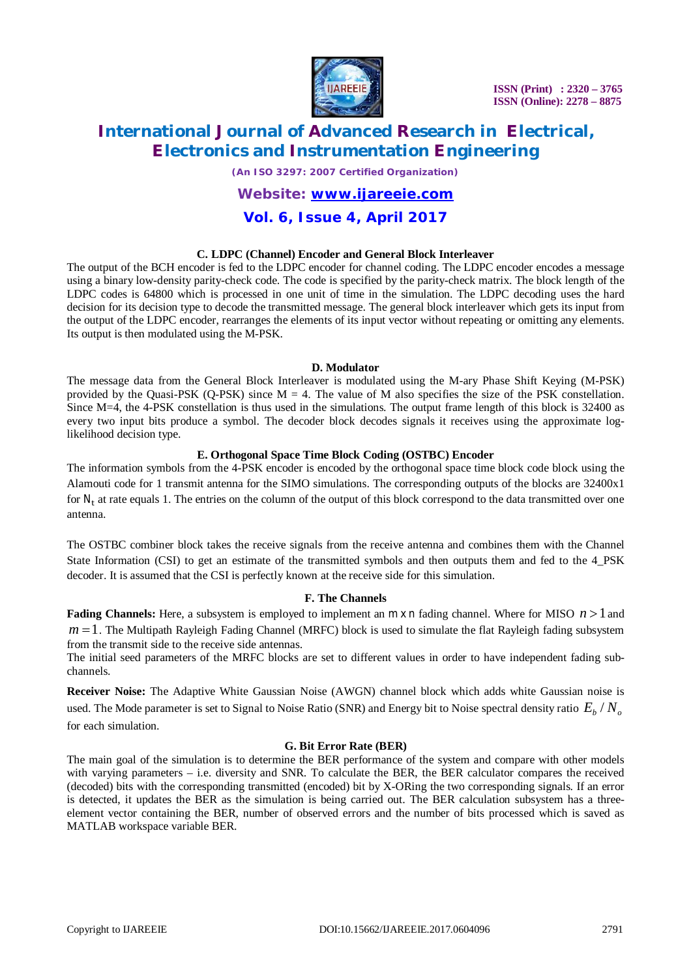

# **International Journal of Advanced Research in Electrical, Electronics and Instrumentation Engineering**

*(An ISO 3297: 2007 Certified Organization)*

#### *Website: [www.ijareeie.com](http://www.ijareeie.com)*

### **Vol. 6, Issue 4, April 2017**

#### **C. LDPC (Channel) Encoder and General Block Interleaver**

The output of the BCH encoder is fed to the LDPC encoder for channel coding. The LDPC encoder encodes a message using a binary low-density parity-check code. The code is specified by the parity-check matrix. The block length of the LDPC codes is 64800 which is processed in one unit of time in the simulation. The LDPC decoding uses the hard decision for its decision type to decode the transmitted message. The general block interleaver which gets its input from the output of the LDPC encoder, rearranges the elements of its input vector without repeating or omitting any elements. Its output is then modulated using the M-PSK.

#### **D. Modulator**

The message data from the General Block Interleaver is modulated using the M-ary Phase Shift Keying (M-PSK) provided by the Quasi-PSK (Q-PSK) since  $M = 4$ . The value of M also specifies the size of the PSK constellation. Since M=4, the 4-PSK constellation is thus used in the simulations. The output frame length of this block is 32400 as every two input bits produce a symbol. The decoder block decodes signals it receives using the approximate loglikelihood decision type.

#### **E. Orthogonal Space Time Block Coding (OSTBC) Encoder**

The information symbols from the 4-PSK encoder is encoded by the orthogonal space time block code block using the Alamouti code for 1 transmit antenna for the SIMO simulations. The corresponding outputs of the blocks are 32400x1 for  $N_t$  at rate equals 1. The entries on the column of the output of this block correspond to the data transmitted over one antenna.

The OSTBC combiner block takes the receive signals from the receive antenna and combines them with the Channel State Information (CSI) to get an estimate of the transmitted symbols and then outputs them and fed to the 4\_PSK decoder. It is assumed that the CSI is perfectly known at the receive side for this simulation.

#### **F. The Channels**

**Fading Channels:** Here, a subsystem is employed to implement an  $m \times n$  fading channel. Where for MISO  $n > 1$  and  $m = 1$ . The Multipath Rayleigh Fading Channel (MRFC) block is used to simulate the flat Rayleigh fading subsystem from the transmit side to the receive side antennas.

The initial seed parameters of the MRFC blocks are set to different values in order to have independent fading subchannels.

**Receiver Noise:** The Adaptive White Gaussian Noise (AWGN) channel block which adds white Gaussian noise is used. The Mode parameter is set to Signal to Noise Ratio (SNR) and Energy bit to Noise spectral density ratio  $E_{_b}/N_{_o}$ for each simulation.

#### **G. Bit Error Rate (BER)**

The main goal of the simulation is to determine the BER performance of the system and compare with other models with varying parameters – i.e. diversity and SNR. To calculate the BER, the BER calculator compares the received (decoded) bits with the corresponding transmitted (encoded) bit by X-ORing the two corresponding signals. If an error is detected, it updates the BER as the simulation is being carried out. The BER calculation subsystem has a threeelement vector containing the BER, number of observed errors and the number of bits processed which is saved as MATLAB workspace variable BER.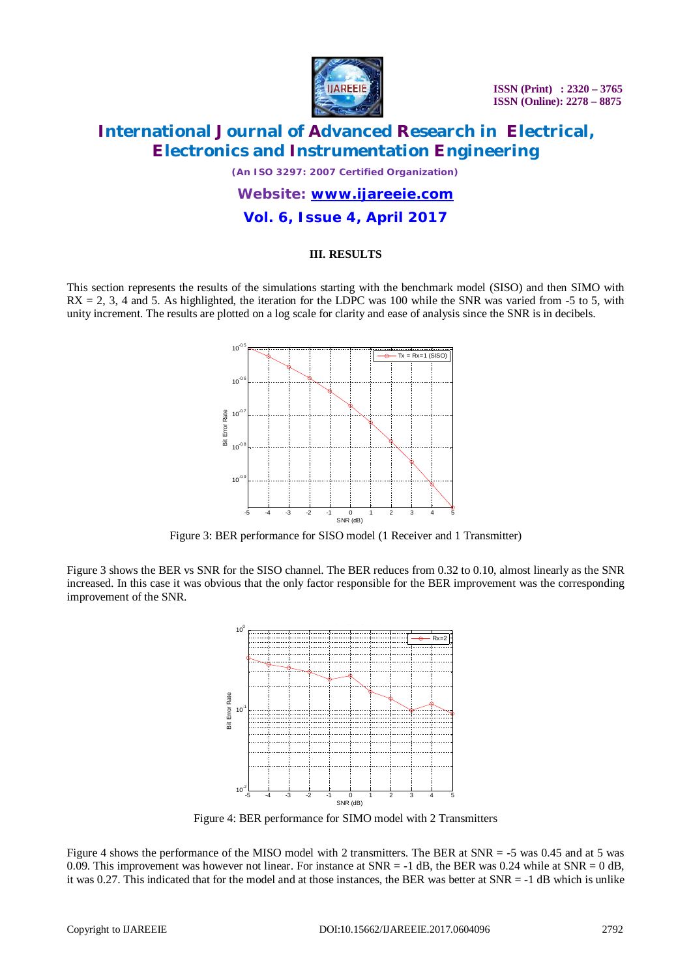

# **International Journal of Advanced Research in Electrical, Electronics and Instrumentation Engineering**

*(An ISO 3297: 2007 Certified Organization)*

# *Website: [www.ijareeie.com](http://www.ijareeie.com)* **Vol. 6, Issue 4, April 2017**

#### **III. RESULTS**

This section represents the results of the simulations starting with the benchmark model (SISO) and then SIMO with  $RX = 2$ , 3, 4 and 5. As highlighted, the iteration for the LDPC was 100 while the SNR was varied from -5 to 5, with unity increment. The results are plotted on a log scale for clarity and ease of analysis since the SNR is in decibels.



Figure 3: BER performance for SISO model (1 Receiver and 1 Transmitter)

Figure 3 shows the BER vs SNR for the SISO channel. The BER reduces from 0.32 to 0.10, almost linearly as the SNR increased. In this case it was obvious that the only factor responsible for the BER improvement was the corresponding improvement of the SNR.



Figure 4: BER performance for SIMO model with 2 Transmitters

Figure 4 shows the performance of the MISO model with 2 transmitters. The BER at SNR = -5 was 0.45 and at 5 was 0.09. This improvement was however not linear. For instance at  $SNR = -1$  dB, the BER was 0.24 while at  $SNR = 0$  dB, it was 0.27. This indicated that for the model and at those instances, the BER was better at SNR = -1 dB which is unlike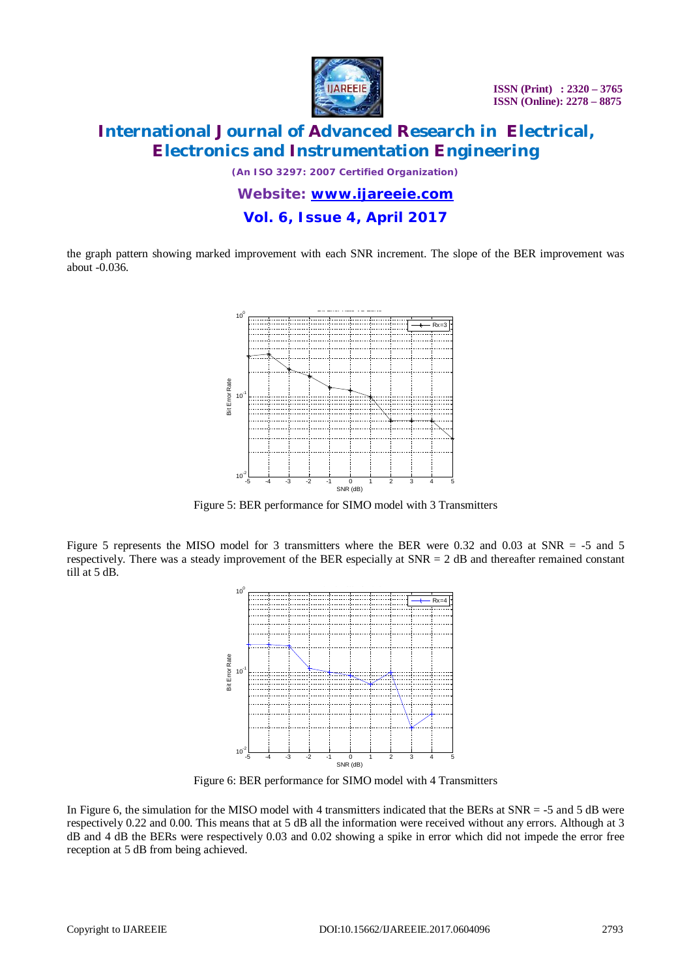

# **International Journal of Advanced Research in Electrical, Electronics and Instrumentation Engineering**

*(An ISO 3297: 2007 Certified Organization)*

*Website: [www.ijareeie.com](http://www.ijareeie.com)* **Vol. 6, Issue 4, April 2017**

the graph pattern showing marked improvement with each SNR increment. The slope of the BER improvement was about -0.036.



Figure 5: BER performance for SIMO model with 3 Transmitters

Figure 5 represents the MISO model for 3 transmitters where the BER were 0.32 and 0.03 at SNR = -5 and 5 respectively. There was a steady improvement of the BER especially at  $SNR = 2$  dB and thereafter remained constant till at 5 dB.



Figure 6: BER performance for SIMO model with 4 Transmitters

In Figure 6, the simulation for the MISO model with 4 transmitters indicated that the BERs at SNR = -5 and 5 dB were respectively 0.22 and 0.00. This means that at 5 dB all the information were received without any errors. Although at 3 dB and 4 dB the BERs were respectively 0.03 and 0.02 showing a spike in error which did not impede the error free reception at 5 dB from being achieved.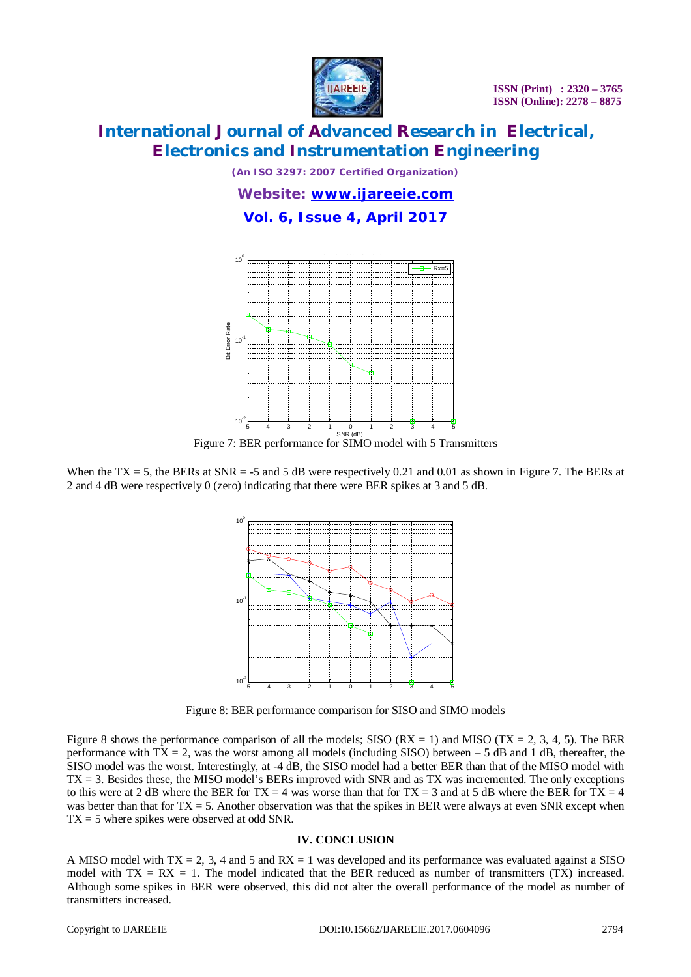



Figure 7: BER perform

When the TX = 5, the BERs at SNR = -5 and 5  $\ddot{\text{o}}$ 2 and 4 dB were respectively 0 (zero) indicating  $t$ 



Figure 8 shows the performance comparison of a performance with  $\overline{TX} = 2$ , was the worst among SISO model was the worst. Interestingly, at -4 dE  $TX = 3$ . Besides these, the MISO model's BERs to this were at 2 dB where the BER for TX = 4  $\nu$ was better than that for  $TX = 5$ . Another observates  $TX \neq 5$  where spikes were observed at odd SNR.

A MISO model with  $TX = 2$ , 3, 4 and 5 and RX model with  $TX = RX = 1$ . The model indicate Although some spikes in BER were observed, the  $n = 1$ transmitters increased.

Copyright to IJAREEIE